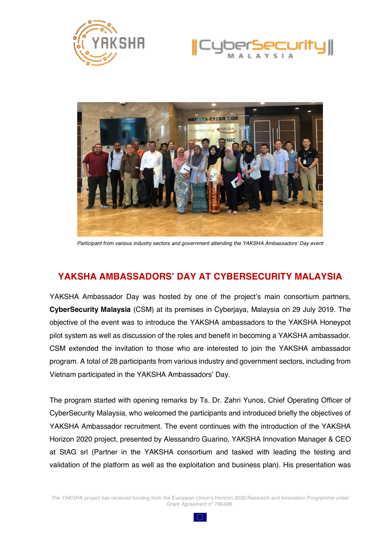





*Participant from various industry sectors and government attending the YAKSHA Ambassadors' Day event*

## **YAKSHA AMBASSADORS' DAY AT CYBERSECURITY MALAYSIA**

YAKSHA Ambassador Day was hosted by one of the project's main consortium partners, **CyberSecurity Malaysia** (CSM) at its premises in Cyberjaya, Malaysia on 29 July 2019. The objective of the event was to introduce the YAKSHA ambassadors to the YAKSHA Honeypot pilot system as well as discussion of the roles and benefit in becoming a YAKSHA ambassador. CSM extended the invitation to those who are interested to join the YAKSHA ambassador program. A total of 28 participants from various industry and government sectors, including from Vietnam participated in the YAKSHA Ambassadors' Day.

The program started with opening remarks by Ts. Dr. Zahri Yunos, Chief Operating Officer of CyberSecurity Malaysia, who welcomed the participants and introduced briefly the objectives of YAKSHA Ambassador recruitment. The event continues with the introduction of the YAKSHA Horizon 2020 project, presented by Alessandro Guarino, YAKSHA Innovation Manager & CEO at StAG srl (Partner in the YAKSHA consortium and tasked with leading the testing and validation of the platform as well as the exploitation and business plan). His presentation was

The YAKSHA project has received funding from the European Union's Horizon 2020 Research and Innovation Programme under Grant Agreement nº 780498.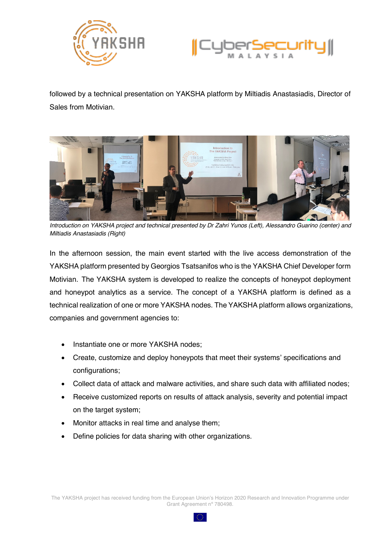



followed by a technical presentation on YAKSHA platform by Miltiadis Anastasiadis, Director of Sales from Motivian.



*Introduction on YAKSHA project and technical presented by Dr Zahri Yunos (Left), Alessandro Guarino (center) and Miltiadis Anastasiadis (Right)*

In the afternoon session, the main event started with the live access demonstration of the YAKSHA platform presented by Georgios Tsatsanifos who is the YAKSHA Chief Developer form Motivian. The YAKSHA system is developed to realize the concepts of honeypot deployment and honeypot analytics as a service. The concept of a YAKSHA platform is defined as a technical realization of one or more YAKSHA nodes. The YAKSHA platform allows organizations, companies and government agencies to:

- Instantiate one or more YAKSHA nodes;
- Create, customize and deploy honeypots that meet their systems' specifications and configurations;
- Collect data of attack and malware activities, and share such data with affiliated nodes;
- Receive customized reports on results of attack analysis, severity and potential impact on the target system;
- Monitor attacks in real time and analyse them;
- Define policies for data sharing with other organizations.

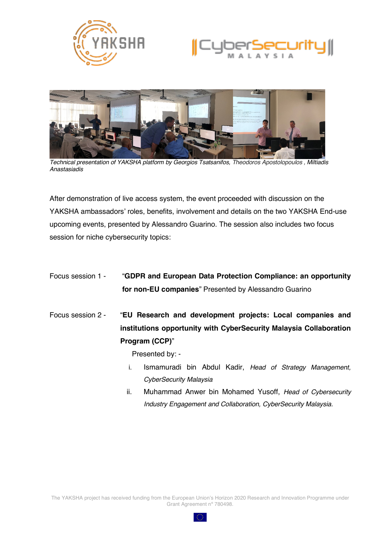





*Technical presentation of YAKSHA platform by Georgios Tsatsanifos, Theodoros Apostolopoulos , Miltiadis Anastasiadis*

After demonstration of live access system, the event proceeded with discussion on the YAKSHA ambassadors' roles, benefits, involvement and details on the two YAKSHA End-use upcoming events, presented by Alessandro Guarino. The session also includes two focus session for niche cybersecurity topics:

| Focus session 1 - |     | "GDPR and European Data Protection Compliance: an opportunity<br>for non-EU companies" Presented by Alessandro Guarino           |
|-------------------|-----|----------------------------------------------------------------------------------------------------------------------------------|
| Focus session 2 - |     | "EU Research and development projects: Local companies and<br>institutions opportunity with CyberSecurity Malaysia Collaboration |
|                   |     | Program (CCP)"                                                                                                                   |
|                   |     | Presented by: -                                                                                                                  |
|                   | i.  | Ismamuradi bin Abdul Kadir, Head of Strategy Management,                                                                         |
|                   |     | CyberSecurity Malaysia                                                                                                           |
|                   | ii. | Muhammad Anwer bin Mohamed Yusoff, Head of Cybersecurity                                                                         |
|                   |     | Industry Engagement and Collaboration, CyberSecurity Malaysia.                                                                   |

The YAKSHA project has received funding from the European Union's Horizon 2020 Research and Innovation Programme under Grant Agreement nº 780498.